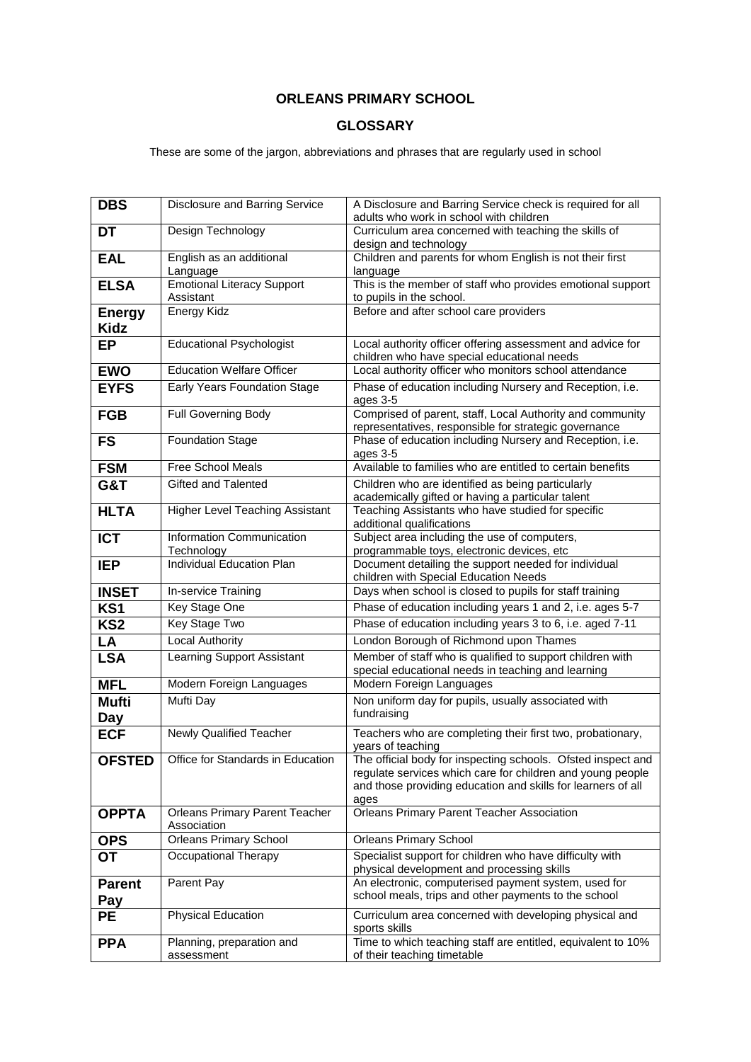## **ORLEANS PRIMARY SCHOOL**

## **GLOSSARY**

## These are some of the jargon, abbreviations and phrases that are regularly used in school

| <b>DBS</b>                   | Disclosure and Barring Service                       | A Disclosure and Barring Service check is required for all<br>adults who work in school with children                                                                                              |
|------------------------------|------------------------------------------------------|----------------------------------------------------------------------------------------------------------------------------------------------------------------------------------------------------|
| <b>DT</b>                    | Design Technology                                    | Curriculum area concerned with teaching the skills of<br>design and technology                                                                                                                     |
| <b>EAL</b>                   | English as an additional<br>Language                 | Children and parents for whom English is not their first<br>language                                                                                                                               |
| <b>ELSA</b>                  | <b>Emotional Literacy Support</b><br>Assistant       | This is the member of staff who provides emotional support<br>to pupils in the school.                                                                                                             |
| <b>Energy</b><br><b>Kidz</b> | Energy Kidz                                          | Before and after school care providers                                                                                                                                                             |
| <b>EP</b>                    | <b>Educational Psychologist</b>                      | Local authority officer offering assessment and advice for<br>children who have special educational needs                                                                                          |
| <b>EWO</b>                   | <b>Education Welfare Officer</b>                     | Local authority officer who monitors school attendance                                                                                                                                             |
| <b>EYFS</b>                  | Early Years Foundation Stage                         | Phase of education including Nursery and Reception, i.e.<br>ages 3-5                                                                                                                               |
| <b>FGB</b>                   | Full Governing Body                                  | Comprised of parent, staff, Local Authority and community<br>representatives, responsible for strategic governance                                                                                 |
| <b>FS</b>                    | <b>Foundation Stage</b>                              | Phase of education including Nursery and Reception, i.e.<br>ages 3-5                                                                                                                               |
| <b>FSM</b>                   | <b>Free School Meals</b>                             | Available to families who are entitled to certain benefits                                                                                                                                         |
| G&T                          | Gifted and Talented                                  | Children who are identified as being particularly<br>academically gifted or having a particular talent                                                                                             |
| <b>HLTA</b>                  | <b>Higher Level Teaching Assistant</b>               | Teaching Assistants who have studied for specific<br>additional qualifications                                                                                                                     |
| <b>ICT</b>                   | Information Communication<br>Technology              | Subject area including the use of computers,<br>programmable toys, electronic devices, etc                                                                                                         |
| <b>IEP</b>                   | Individual Education Plan                            | Document detailing the support needed for individual<br>children with Special Education Needs                                                                                                      |
| <b>INSET</b>                 | In-service Training                                  | Days when school is closed to pupils for staff training                                                                                                                                            |
| KS1                          | Key Stage One                                        | Phase of education including years 1 and 2, i.e. ages 5-7                                                                                                                                          |
| KS <sub>2</sub>              | Key Stage Two                                        | Phase of education including years 3 to 6, i.e. aged 7-11                                                                                                                                          |
| LA                           | <b>Local Authority</b>                               | London Borough of Richmond upon Thames                                                                                                                                                             |
| <b>LSA</b>                   | Learning Support Assistant                           | Member of staff who is qualified to support children with<br>special educational needs in teaching and learning                                                                                    |
| <b>MFL</b>                   | Modern Foreign Languages                             | Modern Foreign Languages                                                                                                                                                                           |
| <b>Mufti</b><br>Day          | Mufti Day                                            | Non uniform day for pupils, usually associated with<br>fundraising                                                                                                                                 |
| <b>ECF</b>                   | <b>Newly Qualified Teacher</b>                       | Teachers who are completing their first two, probationary,<br>years of teaching                                                                                                                    |
| <b>OFSTED</b>                | Office for Standards in Education                    | The official body for inspecting schools. Ofsted inspect and<br>regulate services which care for children and young people<br>and those providing education and skills for learners of all<br>ages |
| <b>OPPTA</b>                 | <b>Orleans Primary Parent Teacher</b><br>Association | <b>Orleans Primary Parent Teacher Association</b>                                                                                                                                                  |
| <b>OPS</b>                   | <b>Orleans Primary School</b>                        | <b>Orleans Primary School</b>                                                                                                                                                                      |
| <b>OT</b>                    | Occupational Therapy                                 | Specialist support for children who have difficulty with<br>physical development and processing skills                                                                                             |
| <b>Parent</b><br>Pay         | Parent Pay                                           | An electronic, computerised payment system, used for<br>school meals, trips and other payments to the school                                                                                       |
| <b>PE</b>                    | <b>Physical Education</b>                            | Curriculum area concerned with developing physical and<br>sports skills                                                                                                                            |
| <b>PPA</b>                   | Planning, preparation and<br>assessment              | Time to which teaching staff are entitled, equivalent to 10%<br>of their teaching timetable                                                                                                        |